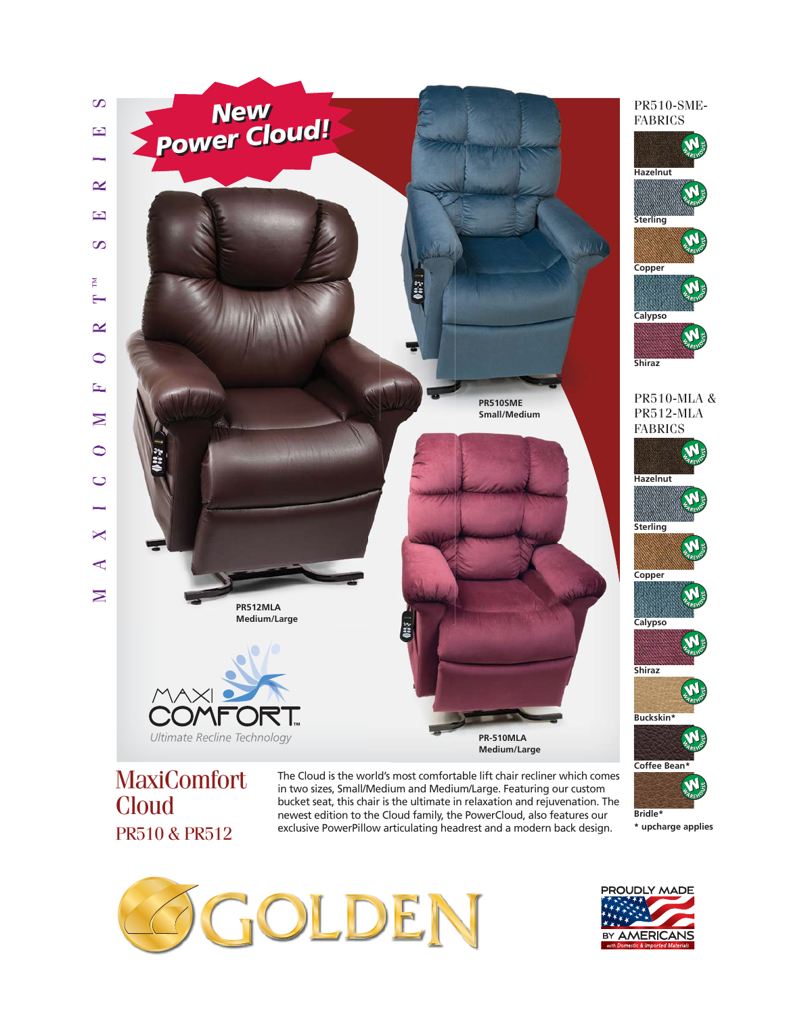

## **MaxiComfort Cloud** PR510 & PR512

The Cloud is the world's most comfortable lift chair recliner which comes in two sizes, Small/Medium and Medium/Large. Featuring our custom bucket seat, this chair is the ultimate in relaxation and rejuvenation. The newest edition to the Cloud family, the PowerCloud, also features our exclusive PowerPillow articulating headrest and a modern back design.



**\* upcharge applies**